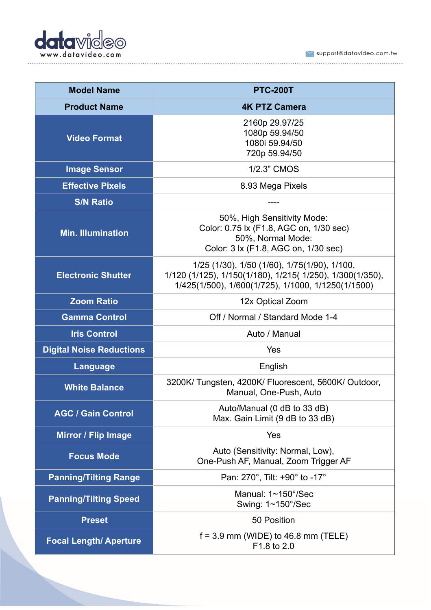

 $\blacktriangleright$  support@datavideo.com.tw 

| <b>Model Name</b>               | <b>PTC-200T</b>                                                                                                                                                 |
|---------------------------------|-----------------------------------------------------------------------------------------------------------------------------------------------------------------|
| <b>Product Name</b>             | <b>4K PTZ Camera</b>                                                                                                                                            |
| <b>Video Format</b>             | 2160p 29.97/25<br>1080p 59.94/50<br>1080i 59.94/50<br>720p 59.94/50                                                                                             |
| <b>Image Sensor</b>             | 1/2.3" CMOS                                                                                                                                                     |
| <b>Effective Pixels</b>         | 8.93 Mega Pixels                                                                                                                                                |
| <b>S/N Ratio</b>                |                                                                                                                                                                 |
| <b>Min. Illumination</b>        | 50%, High Sensitivity Mode:<br>Color: 0.75 lx (F1.8, AGC on, 1/30 sec)<br>50%, Normal Mode:<br>Color: 3 lx (F1.8, AGC on, 1/30 sec)                             |
| <b>Electronic Shutter</b>       | 1/25 (1/30), 1/50 (1/60), 1/75(1/90), 1/100,<br>1/120 (1/125), 1/150(1/180), 1/215( 1/250), 1/300(1/350),<br>1/425(1/500), 1/600(1/725), 1/1000, 1/1250(1/1500) |
| <b>Zoom Ratio</b>               | 12x Optical Zoom                                                                                                                                                |
| <b>Gamma Control</b>            | Off / Normal / Standard Mode 1-4                                                                                                                                |
| <b>Iris Control</b>             | Auto / Manual                                                                                                                                                   |
| <b>Digital Noise Reductions</b> | Yes                                                                                                                                                             |
| Language                        | English                                                                                                                                                         |
| <b>White Balance</b>            | 3200K/ Tungsten, 4200K/ Fluorescent, 5600K/ Outdoor,<br>Manual, One-Push, Auto                                                                                  |
| <b>AGC / Gain Control</b>       | Auto/Manual (0 dB to 33 dB)<br>Max. Gain Limit (9 dB to 33 dB)                                                                                                  |
| <b>Mirror / Flip Image</b>      | Yes                                                                                                                                                             |
| <b>Focus Mode</b>               | Auto (Sensitivity: Normal, Low),<br>One-Push AF, Manual, Zoom Trigger AF                                                                                        |
| <b>Panning/Tilting Range</b>    | Pan: 270°, Tilt: +90° to -17°                                                                                                                                   |
| <b>Panning/Tilting Speed</b>    | Manual: 1~150°/Sec<br>Swing: 1~150°/Sec                                                                                                                         |
| <b>Preset</b>                   | 50 Position                                                                                                                                                     |
| <b>Focal Length/ Aperture</b>   | $f = 3.9$ mm (WIDE) to 46.8 mm (TELE)<br>F1.8 to 2.0                                                                                                            |